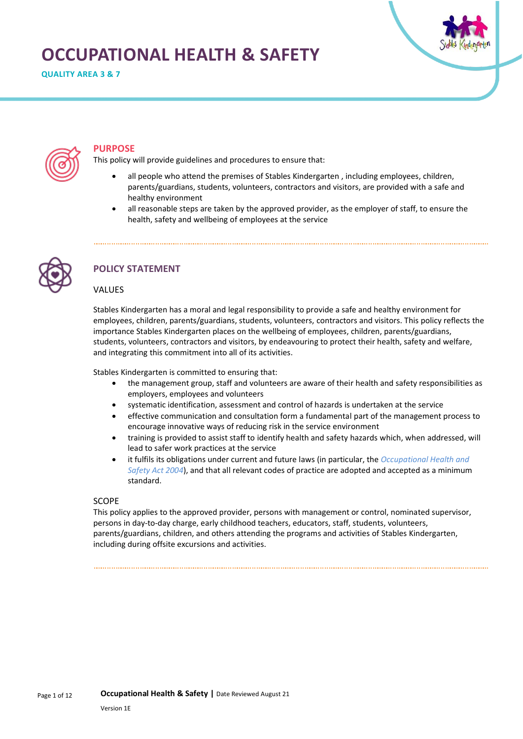# **OCCUPATIONAL HEALTH & SAFETY**

**QUALITY AREA 3 & 7**





#### **PURPOSE**

This policy will provide guidelines and procedures to ensure that:

- all people who attend the premises of Stables Kindergarten , including employees, children, parents/guardians, students, volunteers, contractors and visitors, are provided with a safe and healthy environment
- all reasonable steps are taken by the approved provider, as the employer of staff, to ensure the health, safety and wellbeing of employees at the service



# **POLICY STATEMENT**

#### VALUES

Stables Kindergarten has a moral and legal responsibility to provide a safe and healthy environment for employees, children, parents/guardians, students, volunteers, contractors and visitors. This policy reflects the importance Stables Kindergarten places on the wellbeing of employees, children, parents/guardians, students, volunteers, contractors and visitors, by endeavouring to protect their health, safety and welfare, and integrating this commitment into all of its activities.

Stables Kindergarten is committed to ensuring that:

- the management group, staff and volunteers are aware of their health and safety responsibilities as employers, employees and volunteers
- systematic identification, assessment and control of hazards is undertaken at the service
- effective communication and consultation form a fundamental part of the management process to encourage innovative ways of reducing risk in the service environment
- training is provided to assist staff to identify health and safety hazards which, when addressed, will lead to safer work practices at the service
- it fulfils its obligations under current and future laws (in particular, the *Occupational Health and Safety Act 2004*), and that all relevant codes of practice are adopted and accepted as a minimum standard.

#### SCOPE

This policy applies to the approved provider, persons with management or control, nominated supervisor, persons in day-to-day charge, early childhood teachers, educators, staff, students, volunteers, parents/guardians, children, and others attending the programs and activities of Stables Kindergarten, including during offsite excursions and activities.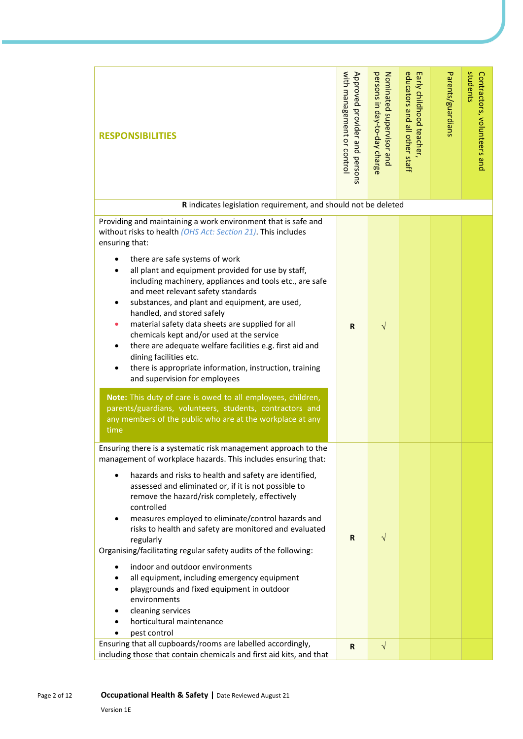| <b>RESPONSIBILITIES</b>                                                                                                                                                                                                                                                                                                                                                                                                                                                                                                                                                                                                                                                                                                                                                                                                                                                                                      | with management or control<br>Approved provider and persons | persons in day-to-day charge<br>Nominated supervisor and | educators and all other staff<br>Early childhood teacher | Parents/guardians | students<br>Contractors, volunteers and |
|--------------------------------------------------------------------------------------------------------------------------------------------------------------------------------------------------------------------------------------------------------------------------------------------------------------------------------------------------------------------------------------------------------------------------------------------------------------------------------------------------------------------------------------------------------------------------------------------------------------------------------------------------------------------------------------------------------------------------------------------------------------------------------------------------------------------------------------------------------------------------------------------------------------|-------------------------------------------------------------|----------------------------------------------------------|----------------------------------------------------------|-------------------|-----------------------------------------|
| R indicates legislation requirement, and should not be deleted                                                                                                                                                                                                                                                                                                                                                                                                                                                                                                                                                                                                                                                                                                                                                                                                                                               |                                                             |                                                          |                                                          |                   |                                         |
| Providing and maintaining a work environment that is safe and<br>without risks to health (OHS Act: Section 21). This includes<br>ensuring that:<br>there are safe systems of work<br>all plant and equipment provided for use by staff,<br>including machinery, appliances and tools etc., are safe<br>and meet relevant safety standards<br>substances, and plant and equipment, are used,<br>handled, and stored safely<br>material safety data sheets are supplied for all<br>chemicals kept and/or used at the service<br>there are adequate welfare facilities e.g. first aid and<br>dining facilities etc.<br>there is appropriate information, instruction, training<br>and supervision for employees<br>Note: This duty of care is owed to all employees, children,<br>parents/guardians, volunteers, students, contractors and<br>any members of the public who are at the workplace at any<br>time | R                                                           | $\sqrt{}$                                                |                                                          |                   |                                         |
| Ensuring there is a systematic risk management approach to the<br>management of workplace hazards. This includes ensuring that:<br>hazards and risks to health and safety are identified,<br>assessed and eliminated or, if it is not possible to<br>remove the hazard/risk completely, effectively<br>controlled<br>measures employed to eliminate/control hazards and<br>risks to health and safety are monitored and evaluated<br>regularly<br>Organising/facilitating regular safety audits of the following:<br>indoor and outdoor environments<br>all equipment, including emergency equipment<br>playgrounds and fixed equipment in outdoor<br>environments<br>cleaning services<br>horticultural maintenance<br>pest control                                                                                                                                                                         | R                                                           | $\sqrt{}$                                                |                                                          |                   |                                         |
| Ensuring that all cupboards/rooms are labelled accordingly,<br>including those that contain chemicals and first aid kits, and that                                                                                                                                                                                                                                                                                                                                                                                                                                                                                                                                                                                                                                                                                                                                                                           | R                                                           | $\sqrt{}$                                                |                                                          |                   |                                         |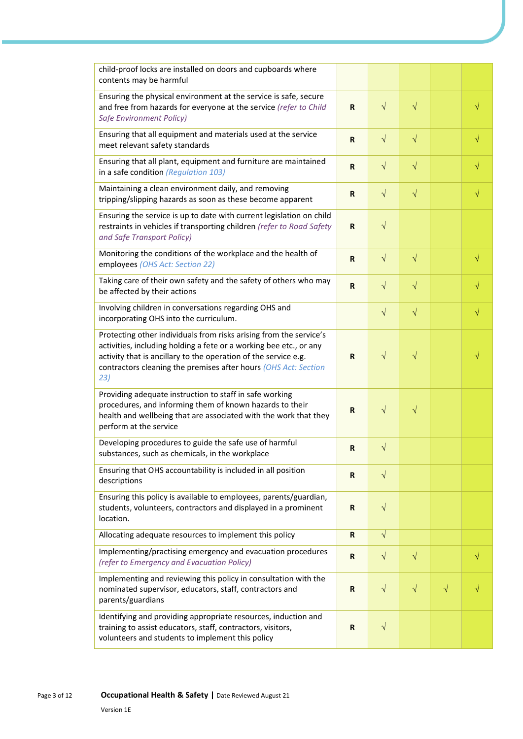| child-proof locks are installed on doors and cupboards where<br>contents may be harmful                                                                                                                                                                                               |              |            |           |           |           |
|---------------------------------------------------------------------------------------------------------------------------------------------------------------------------------------------------------------------------------------------------------------------------------------|--------------|------------|-----------|-----------|-----------|
| Ensuring the physical environment at the service is safe, secure<br>and free from hazards for everyone at the service (refer to Child<br>Safe Environment Policy)                                                                                                                     | R            | $\sqrt{ }$ | $\sqrt{}$ |           | $\sqrt{}$ |
| Ensuring that all equipment and materials used at the service<br>meet relevant safety standards                                                                                                                                                                                       | $\mathsf{R}$ | $\sqrt{ }$ | $\sqrt{}$ |           | $\sqrt{}$ |
| Ensuring that all plant, equipment and furniture are maintained<br>in a safe condition (Regulation 103)                                                                                                                                                                               | R            | $\sqrt{}$  | $\sqrt{}$ |           | $\sqrt{}$ |
| Maintaining a clean environment daily, and removing<br>tripping/slipping hazards as soon as these become apparent                                                                                                                                                                     | $\mathbf R$  | $\sqrt{ }$ | $\sqrt{}$ |           | $\sqrt{}$ |
| Ensuring the service is up to date with current legislation on child<br>restraints in vehicles if transporting children (refer to Road Safety<br>and Safe Transport Policy)                                                                                                           | $\mathbf R$  | $\sqrt{}$  |           |           |           |
| Monitoring the conditions of the workplace and the health of<br>employees (OHS Act: Section 22)                                                                                                                                                                                       | $\mathbf R$  | $\sqrt{}$  | $\sqrt{}$ |           | $\sqrt{}$ |
| Taking care of their own safety and the safety of others who may<br>be affected by their actions                                                                                                                                                                                      | $\mathbf R$  | $\sqrt{ }$ | $\sqrt{}$ |           | $\sqrt{}$ |
| Involving children in conversations regarding OHS and<br>incorporating OHS into the curriculum.                                                                                                                                                                                       |              | $\sqrt{}$  | $\sqrt{}$ |           | $\sqrt{}$ |
| Protecting other individuals from risks arising from the service's<br>activities, including holding a fete or a working bee etc., or any<br>activity that is ancillary to the operation of the service e.g.<br>contractors cleaning the premises after hours (OHS Act: Section<br>23) | R            | $\sqrt{ }$ | $\sqrt{}$ |           |           |
| Providing adequate instruction to staff in safe working<br>procedures, and informing them of known hazards to their<br>health and wellbeing that are associated with the work that they<br>perform at the service                                                                     | R            | $\sqrt{ }$ | $\sqrt{}$ |           |           |
| Developing procedures to guide the safe use of harmful<br>substances, such as chemicals, in the workplace                                                                                                                                                                             | $\mathsf R$  | $\sqrt{}$  |           |           |           |
| Ensuring that OHS accountability is included in all position<br>descriptions                                                                                                                                                                                                          | $\mathbf R$  | $\sqrt{ }$ |           |           |           |
| Ensuring this policy is available to employees, parents/guardian,<br>students, volunteers, contractors and displayed in a prominent<br>location.                                                                                                                                      | R            | $\sqrt{ }$ |           |           |           |
| Allocating adequate resources to implement this policy                                                                                                                                                                                                                                | R            | $\sqrt{}$  |           |           |           |
| Implementing/practising emergency and evacuation procedures<br>(refer to Emergency and Evacuation Policy)                                                                                                                                                                             | $\mathbf R$  | $\sqrt{}$  | $\sqrt{}$ |           | V         |
| Implementing and reviewing this policy in consultation with the<br>nominated supervisor, educators, staff, contractors and<br>parents/guardians                                                                                                                                       | $\mathbf R$  | $\sqrt{ }$ | $\sqrt{}$ | $\sqrt{}$ |           |
| Identifying and providing appropriate resources, induction and<br>training to assist educators, staff, contractors, visitors,<br>volunteers and students to implement this policy                                                                                                     | R            | $\sqrt{ }$ |           |           |           |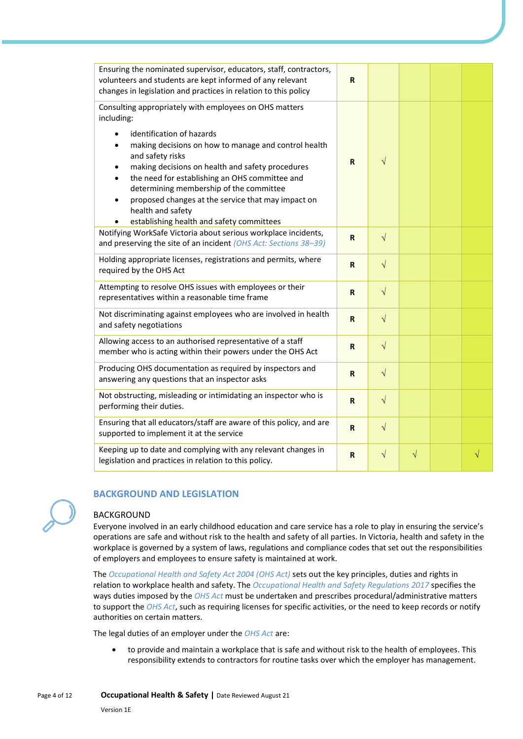| Ensuring the nominated supervisor, educators, staff, contractors,<br>volunteers and students are kept informed of any relevant<br>changes in legislation and practices in relation to this policy                                                                                                                                                                                                                                                                        | R           |            |           |   |
|--------------------------------------------------------------------------------------------------------------------------------------------------------------------------------------------------------------------------------------------------------------------------------------------------------------------------------------------------------------------------------------------------------------------------------------------------------------------------|-------------|------------|-----------|---|
| Consulting appropriately with employees on OHS matters<br>including:<br>identification of hazards<br>making decisions on how to manage and control health<br>and safety risks<br>making decisions on health and safety procedures<br>٠<br>the need for establishing an OHS committee and<br>determining membership of the committee<br>proposed changes at the service that may impact on<br>$\bullet$<br>health and safety<br>establishing health and safety committees | $\mathbf R$ | $\sqrt{}$  |           |   |
| Notifying WorkSafe Victoria about serious workplace incidents,<br>and preserving the site of an incident (OHS Act: Sections 38-39)                                                                                                                                                                                                                                                                                                                                       | $\mathbf R$ | $\sqrt{}$  |           |   |
| Holding appropriate licenses, registrations and permits, where<br>required by the OHS Act                                                                                                                                                                                                                                                                                                                                                                                | $\mathbf R$ | $\sqrt{2}$ |           |   |
| Attempting to resolve OHS issues with employees or their<br>representatives within a reasonable time frame                                                                                                                                                                                                                                                                                                                                                               | $\mathbf R$ | $\sqrt{}$  |           |   |
| Not discriminating against employees who are involved in health<br>and safety negotiations                                                                                                                                                                                                                                                                                                                                                                               | $\mathsf R$ | $\sqrt{}$  |           |   |
| Allowing access to an authorised representative of a staff<br>member who is acting within their powers under the OHS Act                                                                                                                                                                                                                                                                                                                                                 | R           | $\sqrt{}$  |           |   |
| Producing OHS documentation as required by inspectors and<br>answering any questions that an inspector asks                                                                                                                                                                                                                                                                                                                                                              | $\mathbf R$ | $\sqrt{ }$ |           |   |
| Not obstructing, misleading or intimidating an inspector who is<br>performing their duties.                                                                                                                                                                                                                                                                                                                                                                              | $\mathbf R$ | $\sqrt{ }$ |           |   |
| Ensuring that all educators/staff are aware of this policy, and are<br>supported to implement it at the service                                                                                                                                                                                                                                                                                                                                                          | $\mathsf R$ | $\sqrt{}$  |           |   |
| Keeping up to date and complying with any relevant changes in<br>legislation and practices in relation to this policy.                                                                                                                                                                                                                                                                                                                                                   | R           | $\sqrt{ }$ | $\sqrt{}$ | N |



# **BACKGROUND AND LEGISLATION**

#### BACKGROUND

Everyone involved in an early childhood education and care service has a role to play in ensuring the service's operations are safe and without risk to the health and safety of all parties. In Victoria, health and safety in the workplace is governed by a system of laws, regulations and compliance codes that set out the responsibilities of employers and employees to ensure safety is maintained at work.

The *Occupational Health and Safety Act 2004 (OHS Act)* sets out the key principles, duties and rights in relation to workplace health and safety. The *Occupational Health and Safety Regulations 2017* specifies the ways duties imposed by the *OHS Act* must be undertaken and prescribes procedural/administrative matters to support the *OHS Act*, such as requiring licenses for specific activities, or the need to keep records or notify authorities on certain matters.

The legal duties of an employer under the *OHS Act* are:

• to provide and maintain a workplace that is safe and without risk to the health of employees. This responsibility extends to contractors for routine tasks over which the employer has management.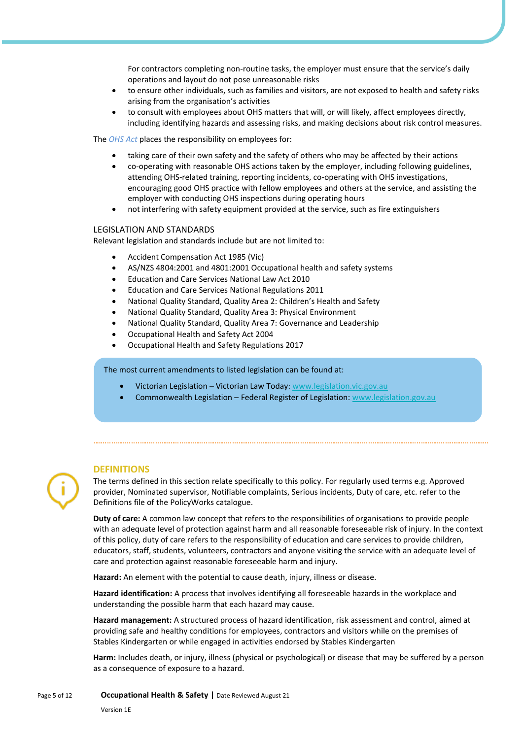For contractors completing non-routine tasks, the employer must ensure that the service's daily operations and layout do not pose unreasonable risks

- to ensure other individuals, such as families and visitors, are not exposed to health and safety risks arising from the organisation's activities
- to consult with employees about OHS matters that will, or will likely, affect employees directly, including identifying hazards and assessing risks, and making decisions about risk control measures.

The *OHS Act* places the responsibility on employees for:

- taking care of their own safety and the safety of others who may be affected by their actions
- co-operating with reasonable OHS actions taken by the employer, including following guidelines, attending OHS-related training, reporting incidents, co-operating with OHS investigations, encouraging good OHS practice with fellow employees and others at the service, and assisting the employer with conducting OHS inspections during operating hours
- not interfering with safety equipment provided at the service, such as fire extinguishers

#### LEGISLATION AND STANDARDS

Relevant legislation and standards include but are not limited to:

- Accident Compensation Act 1985 (Vic)
- AS/NZS 4804:2001 and 4801:2001 Occupational health and safety systems
- Education and Care Services National Law Act 2010
- Education and Care Services National Regulations 2011
- National Quality Standard, Quality Area 2: Children's Health and Safety
- National Quality Standard, Quality Area 3: Physical Environment
- National Quality Standard, Quality Area 7: Governance and Leadership
- Occupational Health and Safety Act 2004
- Occupational Health and Safety Regulations 2017

The most current amendments to listed legislation can be found at:

- Victorian Legislation Victorian Law Today: [www.legislation.vic.gov.au](http://www.legislation.vic.gov.au/)
- Commonwealth Legislation Federal Register of Legislation: [www.legislation.gov.au](http://www.legislation.gov.au/)

**DEFINITIONS**

The terms defined in this section relate specifically to this policy. For regularly used terms e.g. Approved provider, Nominated supervisor, Notifiable complaints, Serious incidents, Duty of care, etc. refer to the Definitions file of the PolicyWorks catalogue.

**Duty of care:** A common law concept that refers to the responsibilities of organisations to provide people with an adequate level of protection against harm and all reasonable foreseeable risk of injury. In the context of this policy, duty of care refers to the responsibility of education and care services to provide children, educators, staff, students, volunteers, contractors and anyone visiting the service with an adequate level of care and protection against reasonable foreseeable harm and injury.

**Hazard:** An element with the potential to cause death, injury, illness or disease.

**Hazard identification:** A process that involves identifying all foreseeable hazards in the workplace and understanding the possible harm that each hazard may cause.

**Hazard management:** A structured process of hazard identification, risk assessment and control, aimed at providing safe and healthy conditions for employees, contractors and visitors while on the premises of Stables Kindergarten or while engaged in activities endorsed by Stables Kindergarten

**Harm:** Includes death, or injury, illness (physical or psychological) or disease that may be suffered by a person as a consequence of exposure to a hazard.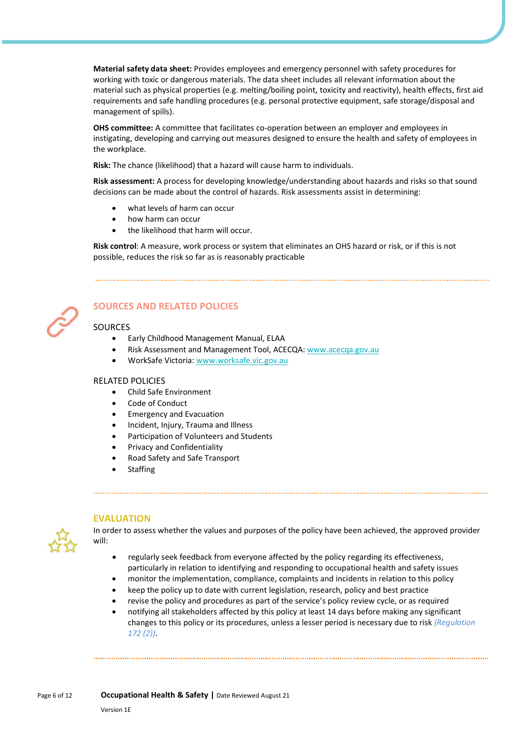**Material safety data sheet:** Provides employees and emergency personnel with safety procedures for working with toxic or dangerous materials. The data sheet includes all relevant information about the material such as physical properties (e.g. melting/boiling point, toxicity and reactivity), health effects, first aid requirements and safe handling procedures (e.g. personal protective equipment, safe storage/disposal and management of spills).

**OHS committee:** A committee that facilitates co-operation between an employer and employees in instigating, developing and carrying out measures designed to ensure the health and safety of employees in the workplace.

**Risk:** The chance (likelihood) that a hazard will cause harm to individuals.

**Risk assessment:** A process for developing knowledge/understanding about hazards and risks so that sound decisions can be made about the control of hazards. Risk assessments assist in determining:

- what levels of harm can occur
- how harm can occur
- the likelihood that harm will occur.

**Risk control**: A measure, work process or system that eliminates an OHS hazard or risk, or if this is not possible, reduces the risk so far as is reasonably practicable



# **SOURCES AND RELATED POLICIES**

#### **SOURCES**

- Early Childhood Management Manual, ELAA
- Risk Assessment and Management Tool, ACECQA: [www.acecqa.gov.au](https://www.acecqa.gov.au/)
- WorkSafe Victoria[: www.worksafe.vic.gov.au](http://www.worksafe.vic.gov.au/)

#### RELATED POLICIES

- Child Safe Environment
- Code of Conduct
- Emergency and Evacuation
- Incident, Injury, Trauma and Illness
- Participation of Volunteers and Students
- Privacy and Confidentiality
- Road Safety and Safe Transport
- **Staffing**



#### **EVALUATION**

In order to assess whether the values and purposes of the policy have been achieved, the approved provider will:

- regularly seek feedback from everyone affected by the policy regarding its effectiveness, particularly in relation to identifying and responding to occupational health and safety issues
- monitor the implementation, compliance, complaints and incidents in relation to this policy
- keep the policy up to date with current legislation, research, policy and best practice
- revise the policy and procedures as part of the service's policy review cycle, or as required
- notifying all stakeholders affected by this policy at least 14 days before making any significant changes to this policy or its procedures, unless a lesser period is necessary due to risk *(Regulation 172 (2))*.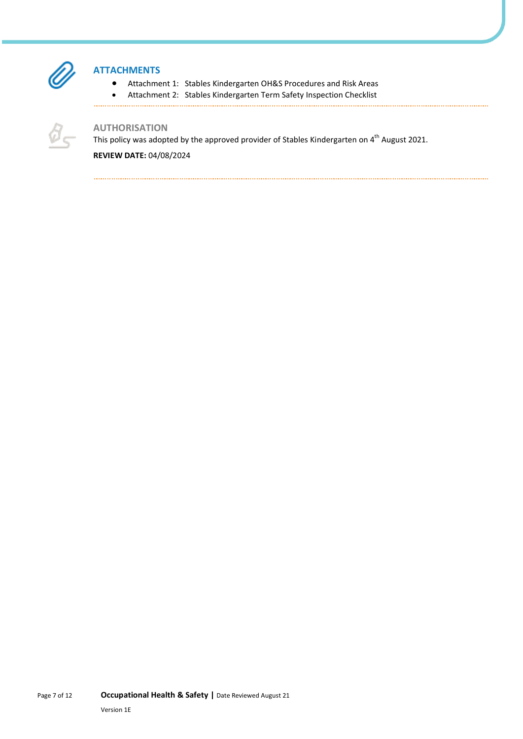

# **ATTACHMENTS**

- Attachment 1: Stables Kindergarten OH&S Procedures and Risk Areas
- Attachment 2: Stables Kindergarten Term Safety Inspection Checklist
- 



## **AUTHORISATION**

This policy was adopted by the approved provider of Stables Kindergarten on 4<sup>th</sup> August 2021.

**REVIEW DATE:** 04/08/2024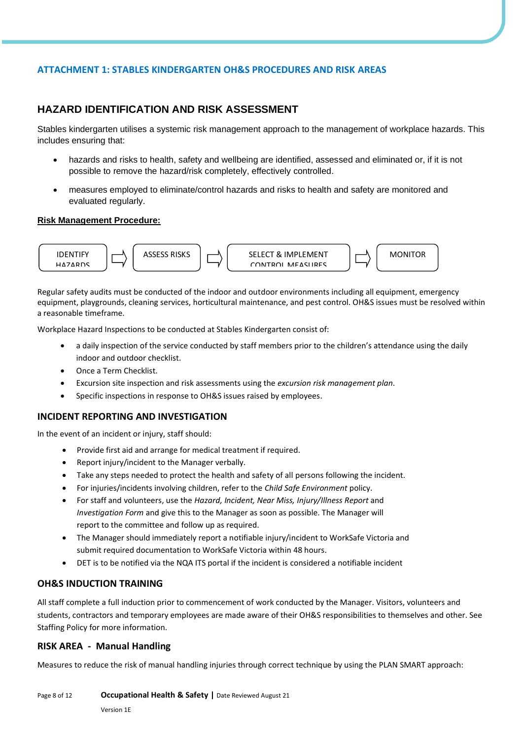# **ATTACHMENT 1: STABLES KINDERGARTEN OH&S PROCEDURES AND RISK AREAS**

# **HAZARD IDENTIFICATION AND RISK ASSESSMENT**

Stables kindergarten utilises a systemic risk management approach to the management of workplace hazards. This includes ensuring that:

- hazards and risks to health, safety and wellbeing are identified, assessed and eliminated or, if it is not possible to remove the hazard/risk completely, effectively controlled.
- measures employed to eliminate/control hazards and risks to health and safety are monitored and evaluated regularly.

#### **Risk Management Procedure:**



Regular safety audits must be conducted of the indoor and outdoor environments including all equipment, emergency equipment, playgrounds, cleaning services, horticultural maintenance, and pest control. OH&S issues must be resolved within a reasonable timeframe.

Workplace Hazard Inspections to be conducted at Stables Kindergarten consist of:

- a daily inspection of the service conducted by staff members prior to the children's attendance using the daily indoor and outdoor checklist.
- Once a Term Checklist.
- Excursion site inspection and risk assessments using the *excursion risk management plan.*
- Specific inspections in response to OH&S issues raised by employees.

#### **INCIDENT REPORTING AND INVESTIGATION**

In the event of an incident or injury, staff should:

- Provide first aid and arrange for medical treatment if required.
- Report injury/incident to the Manager verbally.
- Take any steps needed to protect the health and safety of all persons following the incident.
- For injuries/incidents involving children, refer to the *Child Safe Environment* policy.
- For staff and volunteers, use the *Hazard, Incident, Near Miss, Injury/Illness Report* and *Investigation Form* and give this to the Manager as soon as possible. The Manager will report to the committee and follow up as required.
- The Manager should immediately report a notifiable injury/incident to WorkSafe Victoria and submit required documentation to WorkSafe Victoria within 48 hours.
- DET is to be notified via the NQA ITS portal if the incident is considered a notifiable incident

#### **OH&S INDUCTION TRAINING**

All staff complete a full induction prior to commencement of work conducted by the Manager. Visitors, volunteers and students, contractors and temporary employees are made aware of their OH&S responsibilities to themselves and other. See Staffing Policy for more information.

#### **RISK AREA - Manual Handling**

Measures to reduce the risk of manual handling injuries through correct technique by using the PLAN SMART approach: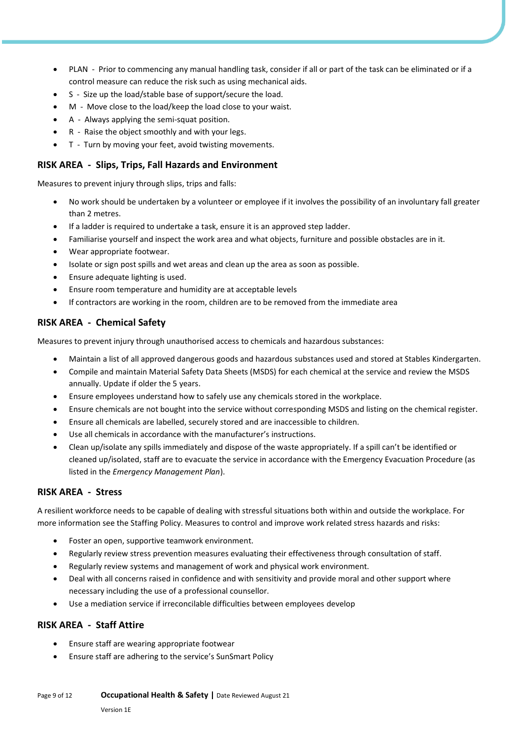- PLAN Prior to commencing any manual handling task, consider if all or part of the task can be eliminated or if a control measure can reduce the risk such as using mechanical aids.
- S Size up the load/stable base of support/secure the load.
- M Move close to the load/keep the load close to your waist.
- A Always applying the semi-squat position.
- R Raise the object smoothly and with your legs.
- T Turn by moving your feet, avoid twisting movements.

## **RISK AREA - Slips, Trips, Fall Hazards and Environment**

Measures to prevent injury through slips, trips and falls:

- No work should be undertaken by a volunteer or employee if it involves the possibility of an involuntary fall greater than 2 metres.
- If a ladder is required to undertake a task, ensure it is an approved step ladder.
- Familiarise yourself and inspect the work area and what objects, furniture and possible obstacles are in it.
- Wear appropriate footwear.
- Isolate or sign post spills and wet areas and clean up the area as soon as possible.
- Ensure adequate lighting is used.
- Ensure room temperature and humidity are at acceptable levels
- If contractors are working in the room, children are to be removed from the immediate area

#### **RISK AREA - Chemical Safety**

Measures to prevent injury through unauthorised access to chemicals and hazardous substances:

- Maintain a list of all approved dangerous goods and hazardous substances used and stored at Stables Kindergarten.
- Compile and maintain Material Safety Data Sheets (MSDS) for each chemical at the service and review the MSDS annually. Update if older the 5 years.
- Ensure employees understand how to safely use any chemicals stored in the workplace.
- Ensure chemicals are not bought into the service without corresponding MSDS and listing on the chemical register.
- Ensure all chemicals are labelled, securely stored and are inaccessible to children.
- Use all chemicals in accordance with the manufacturer's instructions.
- Clean up/isolate any spills immediately and dispose of the waste appropriately. If a spill can't be identified or cleaned up/isolated, staff are to evacuate the service in accordance with the Emergency Evacuation Procedure (as listed in the *Emergency Management Plan*).

#### **RISK AREA - Stress**

A resilient workforce needs to be capable of dealing with stressful situations both within and outside the workplace. For more information see the Staffing Policy. Measures to control and improve work related stress hazards and risks:

- Foster an open, supportive teamwork environment.
- Regularly review stress prevention measures evaluating their effectiveness through consultation of staff.
- Regularly review systems and management of work and physical work environment.
- Deal with all concerns raised in confidence and with sensitivity and provide moral and other support where necessary including the use of a professional counsellor.
- Use a mediation service if irreconcilable difficulties between employees develop

#### **RISK AREA - Staff Attire**

- Ensure staff are wearing appropriate footwear
- Ensure staff are adhering to the service's SunSmart Policy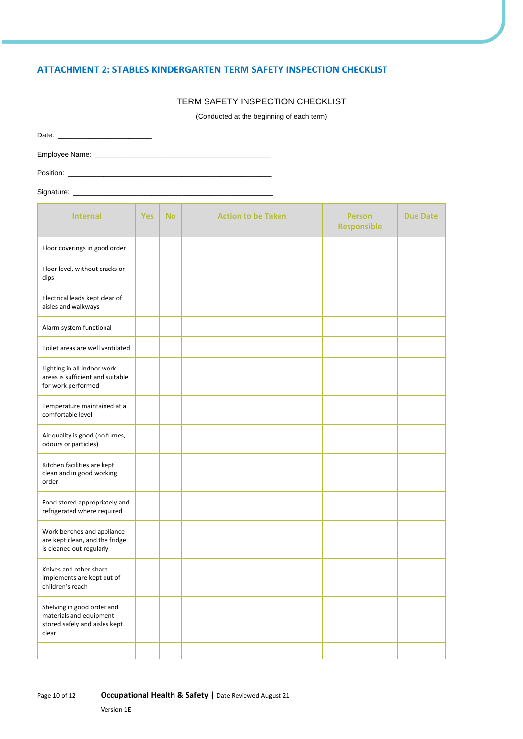## **ATTACHMENT 2: STABLES KINDERGARTEN TERM SAFETY INSPECTION CHECKLIST**

#### TERM SAFETY INSPECTION CHECKLIST

(Conducted at the beginning of each term)

| Position: Position: |  |
|---------------------|--|
| Signature:          |  |

**Internal Yes** | No | **Action to be Taken** | **Person Responsible Due Date** Floor coverings in good order Floor level, without cracks or dips Electrical leads kept clear of aisles and walkways Alarm system functional Toilet areas are well ventilated Lighting in all indoor work areas is sufficient and suitable for work performed Temperature maintained at a comfortable level Air quality is good (no fumes, odours or particles) Kitchen facilities are kept clean and in good working order Food stored appropriately and refrigerated where required Work benches and appliance are kept clean, and the fridge is cleaned out regularly Knives and other sharp implements are kept out of children's reach Shelving in good order and materials and equipment stored safely and aisles kept clear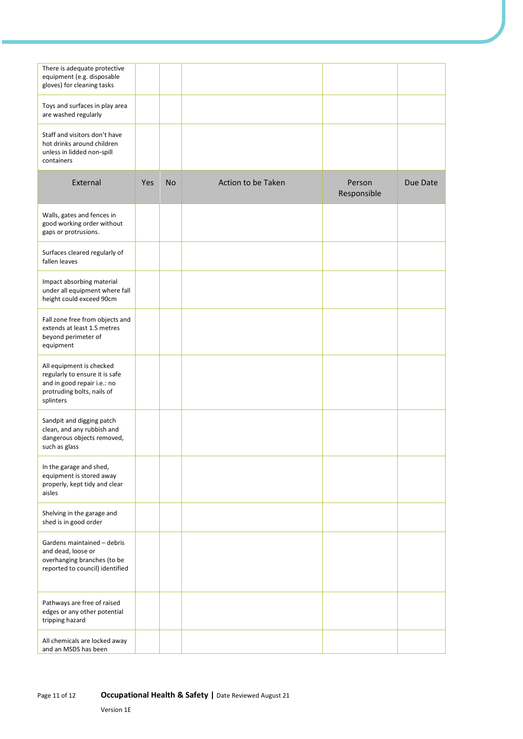| There is adequate protective<br>equipment (e.g. disposable<br>gloves) for cleaning tasks                                             |     |           |                    |                       |          |
|--------------------------------------------------------------------------------------------------------------------------------------|-----|-----------|--------------------|-----------------------|----------|
| Toys and surfaces in play area<br>are washed regularly                                                                               |     |           |                    |                       |          |
| Staff and visitors don't have<br>hot drinks around children<br>unless in lidded non-spill<br>containers                              |     |           |                    |                       |          |
| External                                                                                                                             | Yes | <b>No</b> | Action to be Taken | Person<br>Responsible | Due Date |
| Walls, gates and fences in<br>good working order without<br>gaps or protrusions.                                                     |     |           |                    |                       |          |
| Surfaces cleared regularly of<br>fallen leaves                                                                                       |     |           |                    |                       |          |
| Impact absorbing material<br>under all equipment where fall<br>height could exceed 90cm                                              |     |           |                    |                       |          |
| Fall zone free from objects and<br>extends at least 1.5 metres<br>beyond perimeter of<br>equipment                                   |     |           |                    |                       |          |
| All equipment is checked<br>regularly to ensure it is safe<br>and in good repair i.e.: no<br>protruding bolts, nails of<br>splinters |     |           |                    |                       |          |
| Sandpit and digging patch<br>clean, and any rubbish and<br>dangerous objects removed,<br>such as glass                               |     |           |                    |                       |          |
| In the garage and shed,<br>equipment is stored away<br>properly, kept tidy and clear<br>aisles                                       |     |           |                    |                       |          |
| Shelving in the garage and<br>shed is in good order                                                                                  |     |           |                    |                       |          |
| Gardens maintained - debris<br>and dead, loose or<br>overhanging branches (to be<br>reported to council) identified                  |     |           |                    |                       |          |
| Pathways are free of raised<br>edges or any other potential<br>tripping hazard                                                       |     |           |                    |                       |          |
| All chemicals are locked away<br>and an MSDS has been                                                                                |     |           |                    |                       |          |